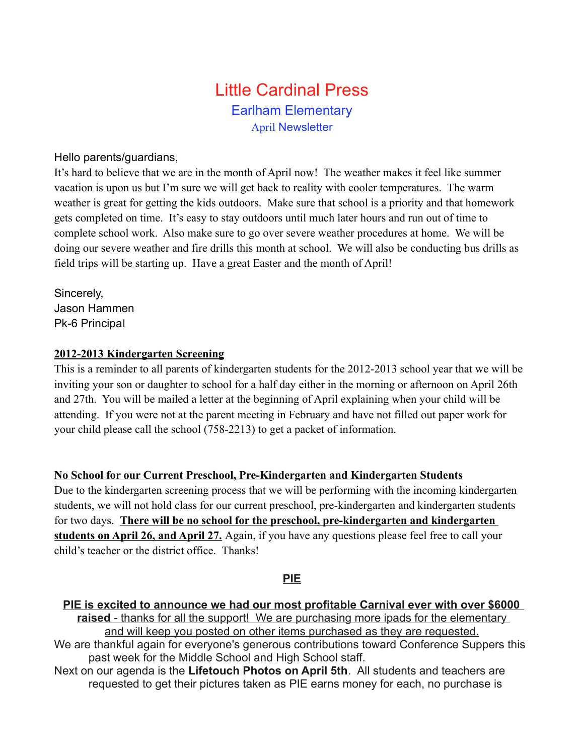# Little Cardinal Press Earlham Elementary April Newsletter

#### Hello parents/guardians,

It's hard to believe that we are in the month of April now! The weather makes it feel like summer vacation is upon us but I'm sure we will get back to reality with cooler temperatures. The warm weather is great for getting the kids outdoors. Make sure that school is a priority and that homework gets completed on time. It's easy to stay outdoors until much later hours and run out of time to complete school work. Also make sure to go over severe weather procedures at home. We will be doing our severe weather and fire drills this month at school. We will also be conducting bus drills as field trips will be starting up. Have a great Easter and the month of April!

Sincerely, Jason Hammen Pk-6 Principal

#### **2012-2013 Kindergarten Screening**

This is a reminder to all parents of kindergarten students for the 2012-2013 school year that we will be inviting your son or daughter to school for a half day either in the morning or afternoon on April 26th and 27th. You will be mailed a letter at the beginning of April explaining when your child will be attending. If you were not at the parent meeting in February and have not filled out paper work for your child please call the school (758-2213) to get a packet of information.

### **No School for our Current Preschool, Pre-Kindergarten and Kindergarten Students**

Due to the kindergarten screening process that we will be performing with the incoming kindergarten students, we will not hold class for our current preschool, pre-kindergarten and kindergarten students for two days. **There will be no school for the preschool, pre-kindergarten and kindergarten students on April 26, and April 27.** Again, if you have any questions please feel free to call your child's teacher or the district office. Thanks!

#### **PIE**

- **PIE is excited to announce we had our most profitable Carnival ever with over \$6000 raised** - thanks for all the support! We are purchasing more ipads for the elementary and will keep you posted on other items purchased as they are requested. We are thankful again for everyone's generous contributions toward Conference Suppers this past week for the Middle School and High School staff.
- Next on our agenda is the **Lifetouch Photos on April 5th**. All students and teachers are requested to get their pictures taken as PIE earns money for each, no purchase is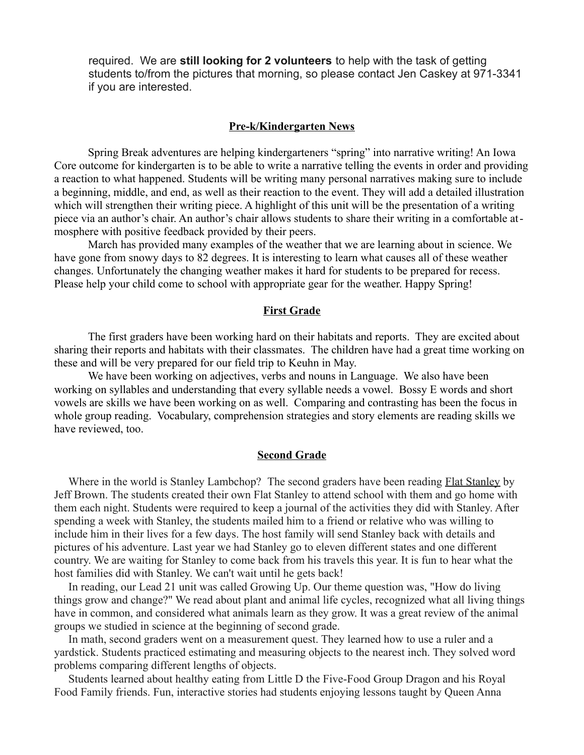required. We are **still looking for 2 volunteers** to help with the task of getting students to/from the pictures that morning, so please contact Jen Caskey at 971-3341 if you are interested.

#### **Pre-k/Kindergarten News**

Spring Break adventures are helping kindergarteners "spring" into narrative writing! An Iowa Core outcome for kindergarten is to be able to write a narrative telling the events in order and providing a reaction to what happened. Students will be writing many personal narratives making sure to include a beginning, middle, and end, as well as their reaction to the event. They will add a detailed illustration which will strengthen their writing piece. A highlight of this unit will be the presentation of a writing piece via an author's chair. An author's chair allows students to share their writing in a comfortable atmosphere with positive feedback provided by their peers.

March has provided many examples of the weather that we are learning about in science. We have gone from snowy days to 82 degrees. It is interesting to learn what causes all of these weather changes. Unfortunately the changing weather makes it hard for students to be prepared for recess. Please help your child come to school with appropriate gear for the weather. Happy Spring!

#### **First Grade**

The first graders have been working hard on their habitats and reports. They are excited about sharing their reports and habitats with their classmates. The children have had a great time working on these and will be very prepared for our field trip to Keuhn in May.

We have been working on adjectives, verbs and nouns in Language. We also have been working on syllables and understanding that every syllable needs a vowel. Bossy E words and short vowels are skills we have been working on as well. Comparing and contrasting has been the focus in whole group reading. Vocabulary, comprehension strategies and story elements are reading skills we have reviewed, too.

#### **Second Grade**

Where in the world is Stanley Lambchop? The second graders have been reading Flat Stanley by Jeff Brown. The students created their own Flat Stanley to attend school with them and go home with them each night. Students were required to keep a journal of the activities they did with Stanley. After spending a week with Stanley, the students mailed him to a friend or relative who was willing to include him in their lives for a few days. The host family will send Stanley back with details and pictures of his adventure. Last year we had Stanley go to eleven different states and one different country. We are waiting for Stanley to come back from his travels this year. It is fun to hear what the host families did with Stanley. We can't wait until he gets back!

In reading, our Lead 21 unit was called Growing Up. Our theme question was, "How do living things grow and change?" We read about plant and animal life cycles, recognized what all living things have in common, and considered what animals learn as they grow. It was a great review of the animal groups we studied in science at the beginning of second grade.

In math, second graders went on a measurement quest. They learned how to use a ruler and a yardstick. Students practiced estimating and measuring objects to the nearest inch. They solved word problems comparing different lengths of objects.

Students learned about healthy eating from Little D the Five-Food Group Dragon and his Royal Food Family friends. Fun, interactive stories had students enjoying lessons taught by Queen Anna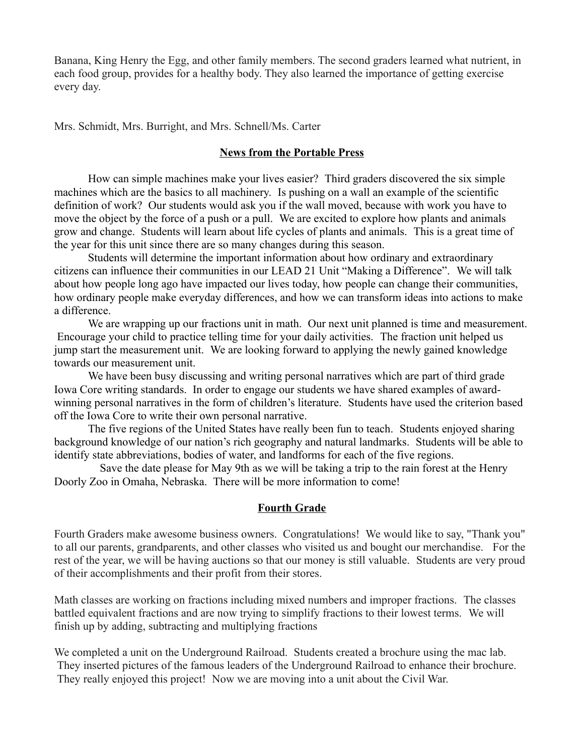Banana, King Henry the Egg, and other family members. The second graders learned what nutrient, in each food group, provides for a healthy body. They also learned the importance of getting exercise every day.

Mrs. Schmidt, Mrs. Burright, and Mrs. Schnell/Ms. Carter

#### **News from the Portable Press**

How can simple machines make your lives easier? Third graders discovered the six simple machines which are the basics to all machinery. Is pushing on a wall an example of the scientific definition of work? Our students would ask you if the wall moved, because with work you have to move the object by the force of a push or a pull. We are excited to explore how plants and animals grow and change. Students will learn about life cycles of plants and animals. This is a great time of the year for this unit since there are so many changes during this season.

Students will determine the important information about how ordinary and extraordinary citizens can influence their communities in our LEAD 21 Unit "Making a Difference". We will talk about how people long ago have impacted our lives today, how people can change their communities, how ordinary people make everyday differences, and how we can transform ideas into actions to make a difference.

We are wrapping up our fractions unit in math. Our next unit planned is time and measurement. Encourage your child to practice telling time for your daily activities. The fraction unit helped us jump start the measurement unit. We are looking forward to applying the newly gained knowledge towards our measurement unit.

We have been busy discussing and writing personal narratives which are part of third grade Iowa Core writing standards. In order to engage our students we have shared examples of awardwinning personal narratives in the form of children's literature. Students have used the criterion based off the Iowa Core to write their own personal narrative.

The five regions of the United States have really been fun to teach. Students enjoyed sharing background knowledge of our nation's rich geography and natural landmarks. Students will be able to identify state abbreviations, bodies of water, and landforms for each of the five regions.

Save the date please for May 9th as we will be taking a trip to the rain forest at the Henry Doorly Zoo in Omaha, Nebraska. There will be more information to come!

#### **Fourth Grade**

Fourth Graders make awesome business owners. Congratulations! We would like to say, "Thank you" to all our parents, grandparents, and other classes who visited us and bought our merchandise. For the rest of the year, we will be having auctions so that our money is still valuable. Students are very proud of their accomplishments and their profit from their stores.

Math classes are working on fractions including mixed numbers and improper fractions. The classes battled equivalent fractions and are now trying to simplify fractions to their lowest terms. We will finish up by adding, subtracting and multiplying fractions

We completed a unit on the Underground Railroad. Students created a brochure using the mac lab. They inserted pictures of the famous leaders of the Underground Railroad to enhance their brochure. They really enjoyed this project! Now we are moving into a unit about the Civil War.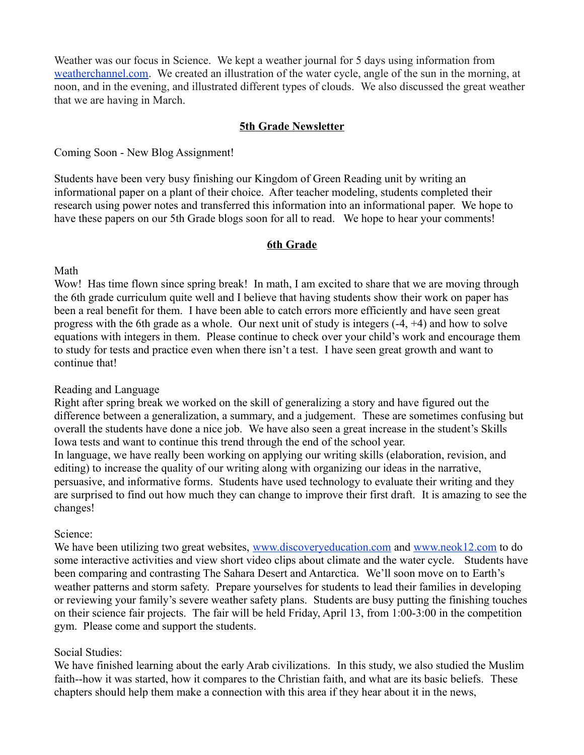Weather was our focus in Science. We kept a weather journal for 5 days using information from [weatherchannel.com.](http://weatherchannel.com/) We created an illustration of the water cycle, angle of the sun in the morning, at noon, and in the evening, and illustrated different types of clouds. We also discussed the great weather that we are having in March.

#### **5th Grade Newsletter**

Coming Soon - New Blog Assignment!

Students have been very busy finishing our Kingdom of Green Reading unit by writing an informational paper on a plant of their choice. After teacher modeling, students completed their research using power notes and transferred this information into an informational paper. We hope to have these papers on our 5th Grade blogs soon for all to read. We hope to hear your comments!

#### **6th Grade**

Math

Wow! Has time flown since spring break! In math, I am excited to share that we are moving through the 6th grade curriculum quite well and I believe that having students show their work on paper has been a real benefit for them. I have been able to catch errors more efficiently and have seen great progress with the 6th grade as a whole. Our next unit of study is integers (-4, +4) and how to solve equations with integers in them. Please continue to check over your child's work and encourage them to study for tests and practice even when there isn't a test. I have seen great growth and want to continue that!

#### Reading and Language

Right after spring break we worked on the skill of generalizing a story and have figured out the difference between a generalization, a summary, and a judgement. These are sometimes confusing but overall the students have done a nice job. We have also seen a great increase in the student's Skills Iowa tests and want to continue this trend through the end of the school year. In language, we have really been working on applying our writing skills (elaboration, revision, and editing) to increase the quality of our writing along with organizing our ideas in the narrative, persuasive, and informative forms. Students have used technology to evaluate their writing and they are surprised to find out how much they can change to improve their first draft. It is amazing to see the changes!

Science:

We have been utilizing two great websites, [www.discoveryeducation.com](http://www.discoveryeducation.com/) and [www.neok12.com](http://www.neok12.com/) to do some interactive activities and view short video clips about climate and the water cycle. Students have been comparing and contrasting The Sahara Desert and Antarctica. We'll soon move on to Earth's weather patterns and storm safety. Prepare yourselves for students to lead their families in developing or reviewing your family's severe weather safety plans. Students are busy putting the finishing touches on their science fair projects. The fair will be held Friday, April 13, from 1:00-3:00 in the competition gym. Please come and support the students.

#### Social Studies:

We have finished learning about the early Arab civilizations. In this study, we also studied the Muslim faith--how it was started, how it compares to the Christian faith, and what are its basic beliefs. These chapters should help them make a connection with this area if they hear about it in the news,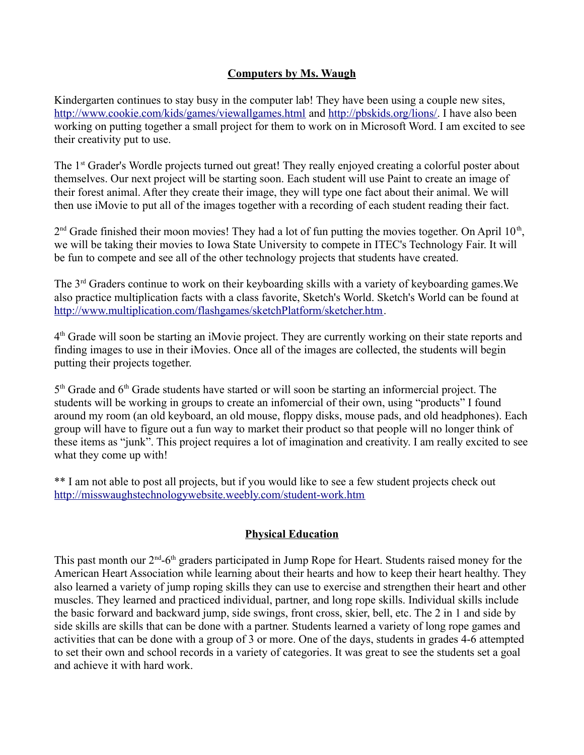### **Computers by Ms. Waugh**

Kindergarten continues to stay busy in the computer lab! They have been using a couple new sites, <http://www.cookie.com/kids/games/viewallgames.html>and [http://pbskids.org/lions/.](http://pbskids.org/lions/) I have also been working on putting together a small project for them to work on in Microsoft Word. I am excited to see their creativity put to use.

The 1<sup>st</sup> Grader's Wordle projects turned out great! They really enjoyed creating a colorful poster about themselves. Our next project will be starting soon. Each student will use Paint to create an image of their forest animal. After they create their image, they will type one fact about their animal. We will then use iMovie to put all of the images together with a recording of each student reading their fact.

 $2<sup>nd</sup>$  Grade finished their moon movies! They had a lot of fun putting the movies together. On April 10<sup>th</sup>, we will be taking their movies to Iowa State University to compete in ITEC's Technology Fair. It will be fun to compete and see all of the other technology projects that students have created.

The 3rd Graders continue to work on their keyboarding skills with a variety of keyboarding games.We also practice multiplication facts with a class favorite, Sketch's World. Sketch's World can be found at [http://www.multiplication.com/flashgames/sketchPlatform/sketcher.htm.](http://www.multiplication.com/flashgames/sketchPlatform/sketcher.htm)

4<sup>th</sup> Grade will soon be starting an iMovie project. They are currently working on their state reports and finding images to use in their iMovies. Once all of the images are collected, the students will begin putting their projects together.

5<sup>th</sup> Grade and 6<sup>th</sup> Grade students have started or will soon be starting an informercial project. The students will be working in groups to create an infomercial of their own, using "products" I found around my room (an old keyboard, an old mouse, floppy disks, mouse pads, and old headphones). Each group will have to figure out a fun way to market their product so that people will no longer think of these items as "junk". This project requires a lot of imagination and creativity. I am really excited to see what they come up with!

\*\* I am not able to post all projects, but if you would like to see a few student projects check out <http://misswaughstechnologywebsite.weebly.com/student-work.htm>

### **Physical Education**

This past month our  $2^{nd}$ -6<sup>th</sup> graders participated in Jump Rope for Heart. Students raised money for the American Heart Association while learning about their hearts and how to keep their heart healthy. They also learned a variety of jump roping skills they can use to exercise and strengthen their heart and other muscles. They learned and practiced individual, partner, and long rope skills. Individual skills include the basic forward and backward jump, side swings, front cross, skier, bell, etc. The 2 in 1 and side by side skills are skills that can be done with a partner. Students learned a variety of long rope games and activities that can be done with a group of 3 or more. One of the days, students in grades 4-6 attempted to set their own and school records in a variety of categories. It was great to see the students set a goal and achieve it with hard work.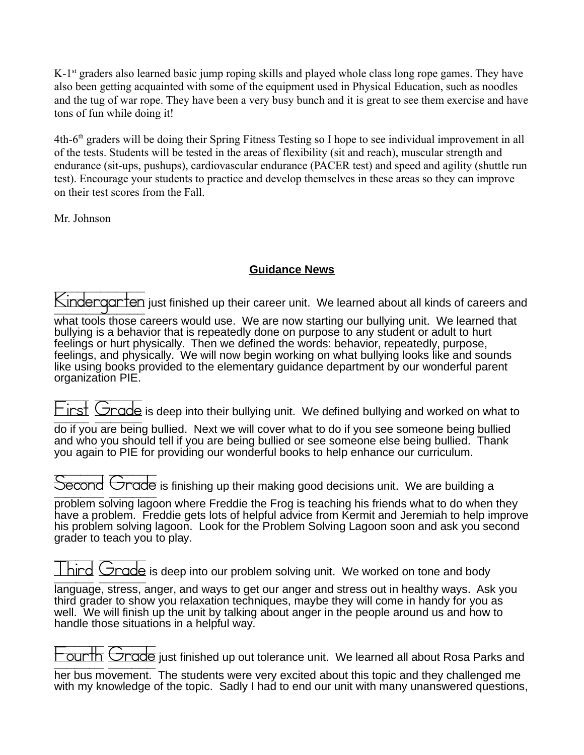K-1<sup>st</sup> graders also learned basic jump roping skills and played whole class long rope games. They have also been getting acquainted with some of the equipment used in Physical Education, such as noodles and the tug of war rope. They have been a very busy bunch and it is great to see them exercise and have tons of fun while doing it!

4th-6th graders will be doing their Spring Fitness Testing so I hope to see individual improvement in all of the tests. Students will be tested in the areas of flexibility (sit and reach), muscular strength and endurance (sit-ups, pushups), cardiovascular endurance (PACER test) and speed and agility (shuttle run test). Encourage your students to practice and develop themselves in these areas so they can improve on their test scores from the Fall.

Mr. Johnson

## **Guidance News**

Kindergarten just finished up their career unit. We learned about all kinds of careers and

what tools those careers would use. We are now starting our bullying unit. We learned that bullying is a behavior that is repeatedly done on purpose to any student or adult to hurt feelings or hurt physically. Then we defined the words: behavior, repeatedly, purpose, feelings, and physically. We will now begin working on what bullying looks like and sounds like using books provided to the elementary guidance department by our wonderful parent organization PIE.

 $T$ inst  $G$ rade is deep into their bullying unit. We defined bullying and worked on what to

do if you are being bullied. Next we will cover what to do if you see someone being bullied and who you should tell if you are being bullied or see someone else being bullied. Thank you again to PIE for providing our wonderful books to help enhance our curriculum.

Second Grade is finishing up their making good decisions unit. We are building a

problem solving lagoon where Freddie the Frog is teaching his friends what to do when they have a problem. Freddie gets lots of helpful advice from Kermit and Jeremiah to help improve his problem solving lagoon. Look for the Problem Solving Lagoon soon and ask you second grader to teach you to play.

 $\pm$  hird  $\overline{\phantom{a}}$  Grade is deep into our problem solving unit. We worked on tone and body

language, stress, anger, and ways to get our anger and stress out in healthy ways. Ask you third grader to show you relaxation techniques, maybe they will come in handy for you as well. We will finish up the unit by talking about anger in the people around us and how to handle those situations in a helpful way.

 $\overline{\Gamma}$  ounth  $\Box$ rade just finished up out tolerance unit. We learned all about Rosa Parks and

her bus movement. The students were very excited about this topic and they challenged me with my knowledge of the topic. Sadly I had to end our unit with many unanswered questions,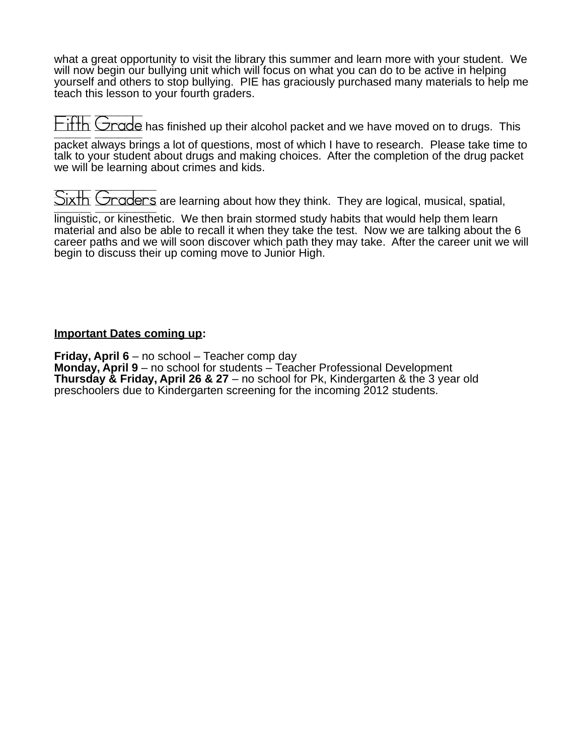what a great opportunity to visit the library this summer and learn more with your student. We will now begin our bullying unit which will focus on what you can do to be active in helping yourself and others to stop bullying. PIE has graciously purchased many materials to help me teach this lesson to your fourth graders.

 $\text{Fith}$  Grade has finished up their alcohol packet and we have moved on to drugs. This

packet always brings a lot of questions, most of which I have to research. Please take time to talk to your student about drugs and making choices. After the completion of the drug packet we will be learning about crimes and kids.

 $\overline{\text{Sixth}}$   $\overline{\text{Graders}}$  are learning about how they think. They are logical, musical, spatial,

linguistic, or kinesthetic. We then brain stormed study habits that would help them learn material and also be able to recall it when they take the test. Now we are talking about the 6 career paths and we will soon discover which path they may take. After the career unit we will begin to discuss their up coming move to Junior High.

### **Important Dates coming up:**

**Friday, April 6** – no school – Teacher comp day **Monday, April 9** – no school for students – Teacher Professional Development **Thursday & Friday, April 26 & 27** – no school for Pk, Kindergarten & the 3 year old preschoolers due to Kindergarten screening for the incoming 2012 students.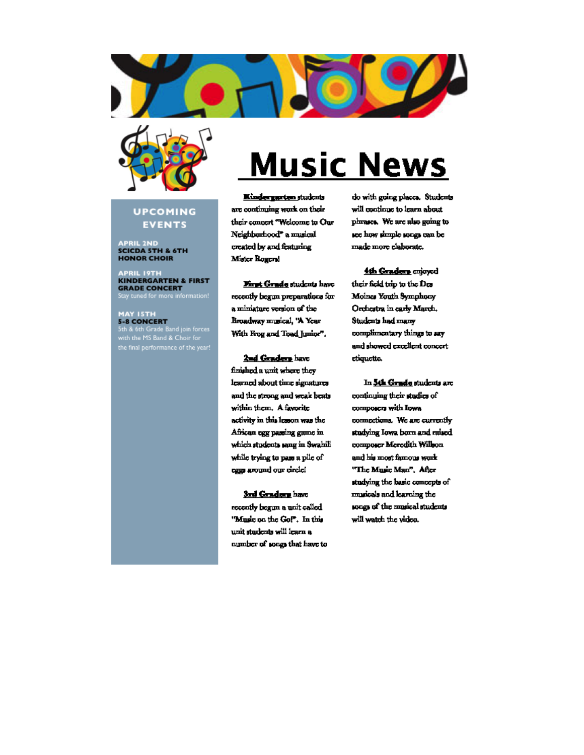



#### **UPCOMING EVENTS**

**APRIL 2ND<br>SCICDA 5TH & 6TH HONOR CHOIR** 

**APRIL 19TH<br>KINDERGARTEN & FIRST GRADE CONCERT**<br>Stay tuned for more information!

MAY ISTH<br>5-8 CONCERT **S-8 CONCERT**<br>Sth & 6th Grade Band join forces<br>with the MS Band & Choir for<br>the final performance of the year!

# **Music News**

Kindergarten students are continuing work on their their concert "Welcome to Our Neighborhood" a musical created by and featuring Mister Rogers!

First Grade students have recently begun preparations for a miniature version of the Broadway musical, 'A Year With Frog and Toad Junior".

2nd Graders have finished a unit where they learned about time signatures and the strong and weak beats within them. A favorite activity in this lesson was the African egg passing game in which students sang in Swahili while trying to pass a pile of eggs around our circle!

#### Srd Graders have

recently begun a unit called "Music on the Go!". In this unit students will learn a number of songs that have to

do with grang places. Students will continue to learn about phrases. We are also going to see how simple songs can be made more claborate.

4th Graders cujoyed their field trip to the Des Moines Youth Symphony Orchestra in early March. Students had many complimentary things to say and showed excellent concert ctiquette.

In 5th Grade students are continuing their studies of composers with Iowa connections. We are currently studying Iowa born and raised composer Meredith Willson and his most famous work "The Music Man", After studying the basic concepts of musicals and learning the songs of the musical students will watch the video.